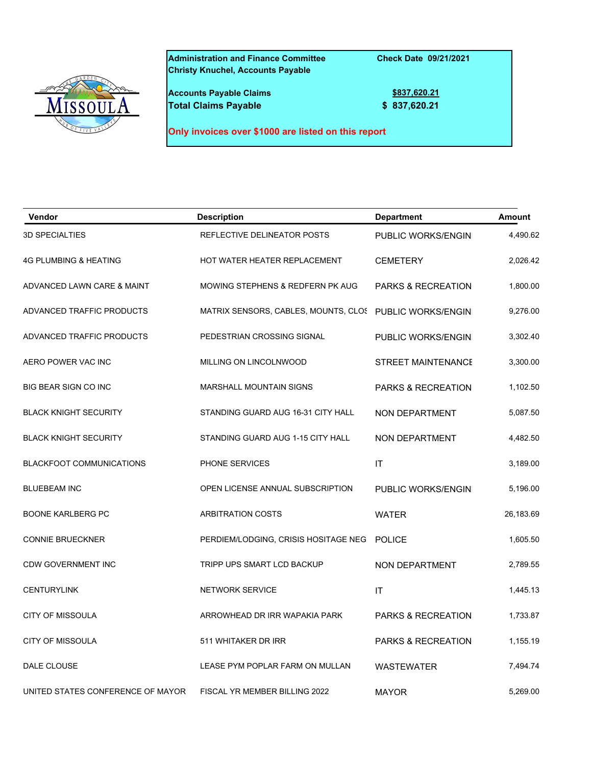

**Administration and Finance Committee Check Date 09/21/2021 Christy Knuchel, Accounts Payable**

**Accounts Payable Claims 1999 1999 1999 1999 1999 1999 1999 1999 1999 1999 1999 1999 1999 1999 1999 1999 1999 1999 1999 1999 1999 1999 1999 1999 1999 1999 1999 1999 Total Claims Payable 6 837,620.21** 

**Only invoices over \$1000 are listed on this report**

| Vendor                            | <b>Description</b>                                      | <b>Department</b>             | <b>Amount</b> |
|-----------------------------------|---------------------------------------------------------|-------------------------------|---------------|
| <b>3D SPECIALTIES</b>             | REFLECTIVE DELINEATOR POSTS                             | PUBLIC WORKS/ENGIN            | 4,490.62      |
| <b>4G PLUMBING &amp; HEATING</b>  | HOT WATER HEATER REPLACEMENT                            | <b>CEMETERY</b>               | 2,026.42      |
| ADVANCED LAWN CARE & MAINT        | MOWING STEPHENS & REDFERN PK AUG                        | <b>PARKS &amp; RECREATION</b> | 1,800.00      |
| ADVANCED TRAFFIC PRODUCTS         | MATRIX SENSORS, CABLES, MOUNTS, CLOS PUBLIC WORKS/ENGIN |                               | 9,276.00      |
| ADVANCED TRAFFIC PRODUCTS         | PEDESTRIAN CROSSING SIGNAL                              | PUBLIC WORKS/ENGIN            | 3,302.40      |
| AERO POWER VAC INC                | MILLING ON LINCOLNWOOD                                  | <b>STREET MAINTENANCE</b>     | 3,300.00      |
| <b>BIG BEAR SIGN CO INC</b>       | <b>MARSHALL MOUNTAIN SIGNS</b>                          | <b>PARKS &amp; RECREATION</b> | 1,102.50      |
| <b>BLACK KNIGHT SECURITY</b>      | STANDING GUARD AUG 16-31 CITY HALL                      | NON DEPARTMENT                | 5,087.50      |
| <b>BLACK KNIGHT SECURITY</b>      | STANDING GUARD AUG 1-15 CITY HALL                       | NON DEPARTMENT                | 4,482.50      |
| <b>BLACKFOOT COMMUNICATIONS</b>   | PHONE SERVICES                                          | IT                            | 3,189.00      |
| <b>BLUEBEAM INC</b>               | OPEN LICENSE ANNUAL SUBSCRIPTION                        | PUBLIC WORKS/ENGIN            | 5,196.00      |
| <b>BOONE KARLBERG PC</b>          | <b>ARBITRATION COSTS</b>                                | <b>WATER</b>                  | 26,183.69     |
| <b>CONNIE BRUECKNER</b>           | PERDIEM/LODGING, CRISIS HOSITAGE NEG                    | <b>POLICE</b>                 | 1,605.50      |
| <b>CDW GOVERNMENT INC</b>         | TRIPP UPS SMART LCD BACKUP                              | NON DEPARTMENT                | 2,789.55      |
| <b>CENTURYLINK</b>                | <b>NETWORK SERVICE</b>                                  | IT                            | 1,445.13      |
| <b>CITY OF MISSOULA</b>           | ARROWHEAD DR IRR WAPAKIA PARK                           | PARKS & RECREATION            | 1,733.87      |
| <b>CITY OF MISSOULA</b>           | 511 WHITAKER DR IRR                                     | PARKS & RECREATION            | 1,155.19      |
| DALE CLOUSE                       | LEASE PYM POPLAR FARM ON MULLAN                         | <b>WASTEWATER</b>             | 7,494.74      |
| UNITED STATES CONFERENCE OF MAYOR | FISCAL YR MEMBER BILLING 2022                           | <b>MAYOR</b>                  | 5,269.00      |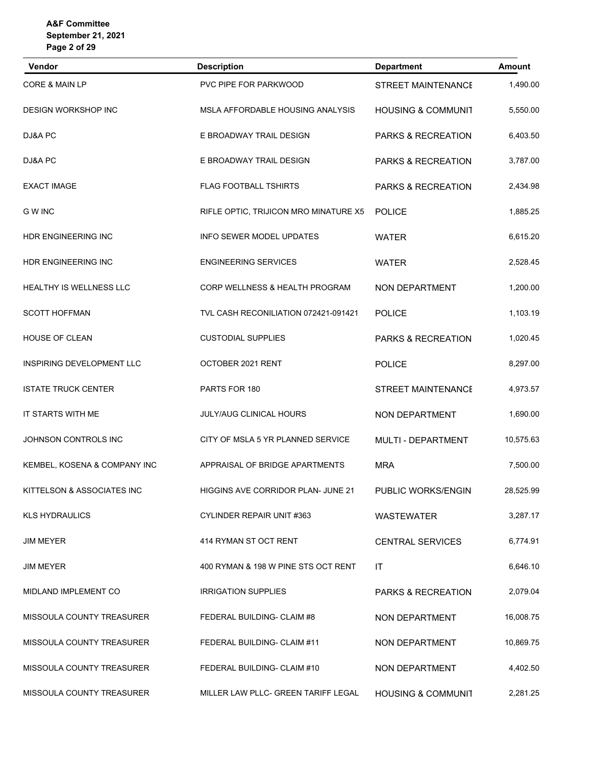| <b>Vendor</b>                    | <b>Description</b>                    | <b>Department</b>             | <b>Amount</b> |
|----------------------------------|---------------------------------------|-------------------------------|---------------|
| CORE & MAIN LP                   | <b>PVC PIPE FOR PARKWOOD</b>          | <b>STREET MAINTENANCE</b>     | 1,490.00      |
| <b>DESIGN WORKSHOP INC</b>       | MSLA AFFORDABLE HOUSING ANALYSIS      | <b>HOUSING &amp; COMMUNIT</b> | 5,550.00      |
| DJ&A PC                          | E BROADWAY TRAIL DESIGN               | PARKS & RECREATION            | 6,403.50      |
| DJ&A PC                          | E BROADWAY TRAIL DESIGN               | PARKS & RECREATION            | 3,787.00      |
| <b>EXACT IMAGE</b>               | <b>FLAG FOOTBALL TSHIRTS</b>          | PARKS & RECREATION            | 2,434.98      |
| <b>GWINC</b>                     | RIFLE OPTIC, TRIJICON MRO MINATURE X5 | <b>POLICE</b>                 | 1,885.25      |
| HDR ENGINEERING INC              | INFO SEWER MODEL UPDATES              | <b>WATER</b>                  | 6,615.20      |
| <b>HDR ENGINEERING INC</b>       | <b>ENGINEERING SERVICES</b>           | <b>WATER</b>                  | 2,528.45      |
| HEALTHY IS WELLNESS LLC          | CORP WELLNESS & HEALTH PROGRAM        | NON DEPARTMENT                | 1,200.00      |
| <b>SCOTT HOFFMAN</b>             | TVL CASH RECONILIATION 072421-091421  | <b>POLICE</b>                 | 1,103.19      |
| HOUSE OF CLEAN                   | <b>CUSTODIAL SUPPLIES</b>             | PARKS & RECREATION            | 1,020.45      |
| INSPIRING DEVELOPMENT LLC        | OCTOBER 2021 RENT                     | <b>POLICE</b>                 | 8,297.00      |
| <b>ISTATE TRUCK CENTER</b>       | PARTS FOR 180                         | <b>STREET MAINTENANCE</b>     | 4,973.57      |
| IT STARTS WITH ME                | <b>JULY/AUG CLINICAL HOURS</b>        | NON DEPARTMENT                | 1,690.00      |
| JOHNSON CONTROLS INC             | CITY OF MSLA 5 YR PLANNED SERVICE     | MULTI - DEPARTMENT            | 10,575.63     |
| KEMBEL, KOSENA & COMPANY INC     | APPRAISAL OF BRIDGE APARTMENTS        | <b>MRA</b>                    | 7,500.00      |
| KITTELSON & ASSOCIATES INC       | HIGGINS AVE CORRIDOR PLAN- JUNE 21    | PUBLIC WORKS/ENGIN            | 28,525.99     |
| <b>KLS HYDRAULICS</b>            | CYLINDER REPAIR UNIT #363             | <b>WASTEWATER</b>             | 3,287.17      |
| <b>JIM MEYER</b>                 | 414 RYMAN ST OCT RENT                 | <b>CENTRAL SERVICES</b>       | 6,774.91      |
| <b>JIM MEYER</b>                 | 400 RYMAN & 198 W PINE STS OCT RENT   | IT                            | 6,646.10      |
| MIDLAND IMPLEMENT CO             | <b>IRRIGATION SUPPLIES</b>            | <b>PARKS &amp; RECREATION</b> | 2,079.04      |
| MISSOULA COUNTY TREASURER        | FEDERAL BUILDING- CLAIM #8            | NON DEPARTMENT                | 16,008.75     |
| <b>MISSOULA COUNTY TREASURER</b> | FEDERAL BUILDING- CLAIM #11           | NON DEPARTMENT                | 10,869.75     |
| MISSOULA COUNTY TREASURER        | FEDERAL BUILDING- CLAIM #10           | NON DEPARTMENT                | 4,402.50      |
| MISSOULA COUNTY TREASURER        | MILLER LAW PLLC- GREEN TARIFF LEGAL   | <b>HOUSING &amp; COMMUNIT</b> | 2,281.25      |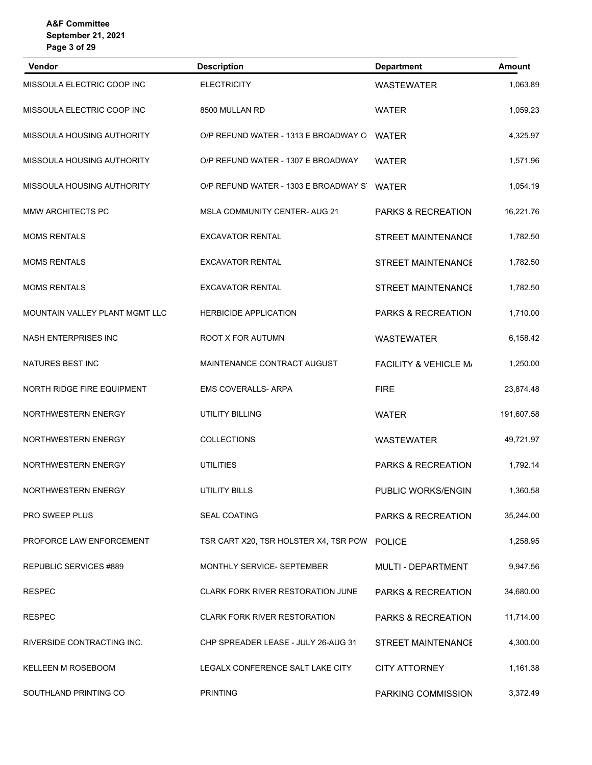| <b>Vendor</b>                     | <b>Description</b>                           | <b>Department</b>                | <b>Amount</b> |
|-----------------------------------|----------------------------------------------|----------------------------------|---------------|
| MISSOULA ELECTRIC COOP INC        | <b>ELECTRICITY</b>                           | <b>WASTEWATER</b>                | 1,063.89      |
| MISSOULA ELECTRIC COOP INC        | 8500 MULLAN RD                               | <b>WATER</b>                     | 1,059.23      |
| <b>MISSOULA HOUSING AUTHORITY</b> | O/P REFUND WATER - 1313 E BROADWAY C         | <b>WATER</b>                     | 4,325.97      |
| MISSOULA HOUSING AUTHORITY        | O/P REFUND WATER - 1307 E BROADWAY           | <b>WATER</b>                     | 1,571.96      |
| MISSOULA HOUSING AUTHORITY        | O/P REFUND WATER - 1303 E BROADWAY ST        | <b>WATER</b>                     | 1,054.19      |
| MMW ARCHITECTS PC                 | <b>MSLA COMMUNITY CENTER- AUG 21</b>         | PARKS & RECREATION               | 16,221.76     |
| <b>MOMS RENTALS</b>               | <b>EXCAVATOR RENTAL</b>                      | <b>STREET MAINTENANCE</b>        | 1,782.50      |
| <b>MOMS RENTALS</b>               | <b>EXCAVATOR RENTAL</b>                      | <b>STREET MAINTENANCE</b>        | 1,782.50      |
| <b>MOMS RENTALS</b>               | <b>EXCAVATOR RENTAL</b>                      | <b>STREET MAINTENANCE</b>        | 1,782.50      |
| MOUNTAIN VALLEY PLANT MGMT LLC    | <b>HERBICIDE APPLICATION</b>                 | PARKS & RECREATION               | 1,710.00      |
| <b>NASH ENTERPRISES INC</b>       | ROOT X FOR AUTUMN                            | <b>WASTEWATER</b>                | 6,158.42      |
| NATURES BEST INC                  | MAINTENANCE CONTRACT AUGUST                  | <b>FACILITY &amp; VEHICLE M/</b> | 1,250.00      |
| NORTH RIDGE FIRE EQUIPMENT        | <b>EMS COVERALLS- ARPA</b>                   | <b>FIRE</b>                      | 23,874.48     |
| <b>NORTHWESTERN ENERGY</b>        | <b>UTILITY BILLING</b>                       | <b>WATER</b>                     | 191,607.58    |
| <b>NORTHWESTERN ENERGY</b>        | <b>COLLECTIONS</b>                           | <b>WASTEWATER</b>                | 49,721.97     |
| NORTHWESTERN ENERGY               | <b>UTILITIES</b>                             | PARKS & RECREATION               | 1,792.14      |
| NORTHWESTERN ENERGY               | <b>UTILITY BILLS</b>                         | PUBLIC WORKS/ENGIN               | 1,360.58      |
| PRO SWEEP PLUS                    | <b>SEAL COATING</b>                          | <b>PARKS &amp; RECREATION</b>    | 35,244.00     |
| PROFORCE LAW ENFORCEMENT          | TSR CART X20, TSR HOLSTER X4, TSR POW POLICE |                                  | 1,258.95      |
| REPUBLIC SERVICES #889            | MONTHLY SERVICE- SEPTEMBER                   | MULTI - DEPARTMENT               | 9,947.56      |
| <b>RESPEC</b>                     | CLARK FORK RIVER RESTORATION JUNE            | PARKS & RECREATION               | 34,680.00     |
| <b>RESPEC</b>                     | <b>CLARK FORK RIVER RESTORATION</b>          | <b>PARKS &amp; RECREATION</b>    | 11,714.00     |
| RIVERSIDE CONTRACTING INC.        | CHP SPREADER LEASE - JULY 26-AUG 31          | <b>STREET MAINTENANCE</b>        | 4,300.00      |
| KELLEEN M ROSEBOOM                | LEGALX CONFERENCE SALT LAKE CITY             | <b>CITY ATTORNEY</b>             | 1,161.38      |
| SOUTHLAND PRINTING CO             | <b>PRINTING</b>                              | PARKING COMMISSION               | 3,372.49      |